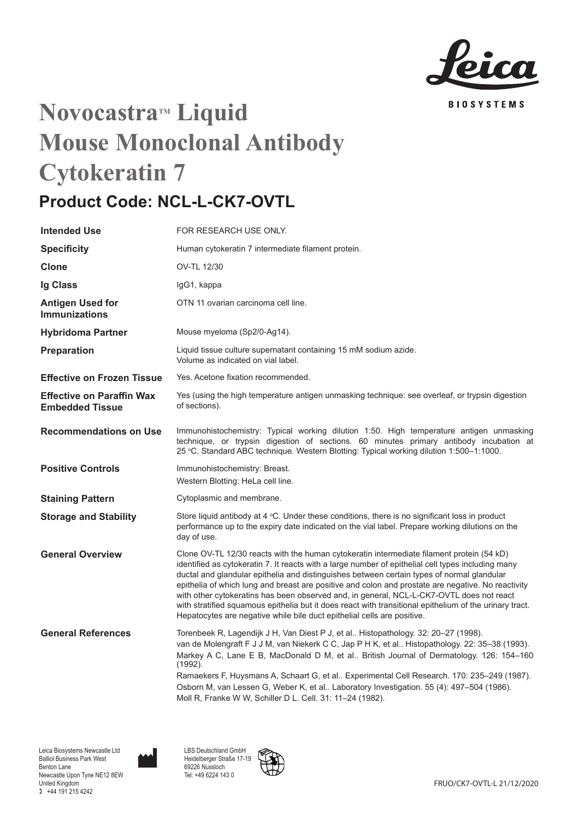

# **Novocastra™ Liquid Mouse Monoclonal Antibody Cytokeratin 7**

## **Product Code: NCL-L-CK7-OVTL**

| <b>Intended Use</b>                                        | FOR RESEARCH USE ONLY.                                                                                                                                                                                                                                                                                                                                                                                                                                                                                                                                                                                                                                                                |
|------------------------------------------------------------|---------------------------------------------------------------------------------------------------------------------------------------------------------------------------------------------------------------------------------------------------------------------------------------------------------------------------------------------------------------------------------------------------------------------------------------------------------------------------------------------------------------------------------------------------------------------------------------------------------------------------------------------------------------------------------------|
| <b>Specificity</b>                                         | Human cytokeratin 7 intermediate filament protein.                                                                                                                                                                                                                                                                                                                                                                                                                                                                                                                                                                                                                                    |
| Clone                                                      | OV-TL 12/30                                                                                                                                                                                                                                                                                                                                                                                                                                                                                                                                                                                                                                                                           |
| Ig Class                                                   | lgG1, kappa                                                                                                                                                                                                                                                                                                                                                                                                                                                                                                                                                                                                                                                                           |
| Antigen Used for<br><b>Immunizations</b>                   | OTN 11 ovarian carcinoma cell line.                                                                                                                                                                                                                                                                                                                                                                                                                                                                                                                                                                                                                                                   |
| <b>Hybridoma Partner</b>                                   | Mouse myeloma (Sp2/0-Ag14).                                                                                                                                                                                                                                                                                                                                                                                                                                                                                                                                                                                                                                                           |
| Preparation                                                | Liquid tissue culture supernatant containing 15 mM sodium azide.<br>Volume as indicated on vial label.                                                                                                                                                                                                                                                                                                                                                                                                                                                                                                                                                                                |
| <b>Effective on Frozen Tissue</b>                          | Yes. Acetone fixation recommended.                                                                                                                                                                                                                                                                                                                                                                                                                                                                                                                                                                                                                                                    |
| <b>Effective on Paraffin Wax</b><br><b>Embedded Tissue</b> | Yes (using the high temperature antigen unmasking technique: see overleaf, or trypsin digestion<br>of sections).                                                                                                                                                                                                                                                                                                                                                                                                                                                                                                                                                                      |
| <b>Recommendations on Use</b>                              | Immunohistochemistry: Typical working dilution 1:50. High temperature antigen unmasking<br>technique, or trypsin digestion of sections. 60 minutes primary antibody incubation at<br>25 °C. Standard ABC technique. Western Blotting: Typical working dilution 1:500-1:1000.                                                                                                                                                                                                                                                                                                                                                                                                          |
| <b>Positive Controls</b>                                   | Immunohistochemistry: Breast.<br>Western Blotting: HeLa cell line.                                                                                                                                                                                                                                                                                                                                                                                                                                                                                                                                                                                                                    |
| <b>Staining Pattern</b>                                    | Cytoplasmic and membrane.                                                                                                                                                                                                                                                                                                                                                                                                                                                                                                                                                                                                                                                             |
| <b>Storage and Stability</b>                               | Store liquid antibody at $4 \degree$ C. Under these conditions, there is no significant loss in product<br>performance up to the expiry date indicated on the vial label. Prepare working dilutions on the<br>day of use.                                                                                                                                                                                                                                                                                                                                                                                                                                                             |
| <b>General Overview</b>                                    | Clone OV-TL 12/30 reacts with the human cytokeratin intermediate filament protein (54 kD)<br>identified as cytokeratin 7. It reacts with a large number of epithelial cell types including many<br>ductal and glandular epithelia and distinguishes between certain types of normal glandular<br>epithelia of which lung and breast are positive and colon and prostate are negative. No reactivity<br>with other cytokeratins has been observed and, in general, NCL-L-CK7-OVTL does not react<br>with stratified squamous epithelia but it does react with transitional epithelium of the urinary tract.<br>Hepatocytes are negative while bile duct epithelial cells are positive. |
| <b>General References</b>                                  | Torenbeek R, Lagendijk J H, Van Diest P J, et al Histopathology. 32: 20–27 (1998).<br>van de Molengraft F J J M, van Niekerk C C, Jap P H K, et al Histopathology. 22: 35–38 (1993).<br>Markey A C, Lane E B, MacDonald D M, et al British Journal of Dermatology. 126: 154-160<br>$(1992)$ .<br>Ramaekers F, Huysmans A, Schaart G, et al Experimental Cell Research. 170: 235–249 (1987).<br>Osborn M, van Lessen G, Weber K, et al Laboratory Investigation. 55 (4): 497-504 (1986).<br>Moll R, Franke W W, Schiller D L. Cell. 31: 11-24 (1982).                                                                                                                                  |